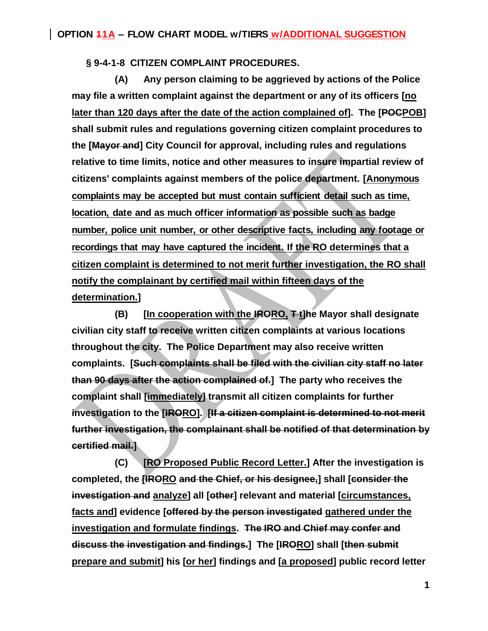**§ 9-4-1-8 CITIZEN COMPLAINT PROCEDURES.**

**(A) Any person claiming to be aggrieved by actions of the Police may file a written complaint against the department or any of its officers [no later than 120 days after the date of the action complained of]. The [POCPOB] shall submit rules and regulations governing citizen complaint procedures to the [Mayor and] City Council for approval, including rules and regulations relative to time limits, notice and other measures to insure impartial review of citizens' complaints against members of the police department. [Anonymous complaints may be accepted but must contain sufficient detail such as time, location, date and as much officer information as possible such as badge number, police unit number, or other descriptive facts, including any footage or recordings that may have captured the incident. If the RO determines that a citizen complaint is determined to not merit further investigation, the RO shall notify the complainant by certified mail within fifteen days of the determination.]**

**(B) [In cooperation with the IRORO, T t]he Mayor shall designate civilian city staff to receive written citizen complaints at various locations throughout the city. The Police Department may also receive written complaints. [Such complaints shall be filed with the civilian city staff no later than 90 days after the action complained of.] The party who receives the complaint shall [immediately] transmit all citizen complaints for further investigation to the [IRORO]. [If a citizen complaint is determined to not merit further investigation, the complainant shall be notified of that determination by certified mail.]**

**(C) [RO Proposed Public Record Letter.] After the investigation is completed, the [IRORO and the Chief, or his designee,] shall [consider the investigation and analyze] all [other] relevant and material [circumstances, facts and] evidence [offered by the person investigated gathered under the investigation and formulate findings. The IRO and Chief may confer and discuss the investigation and findings.] The [IRORO] shall [then submit prepare and submit] his [or her] findings and [a proposed] public record letter**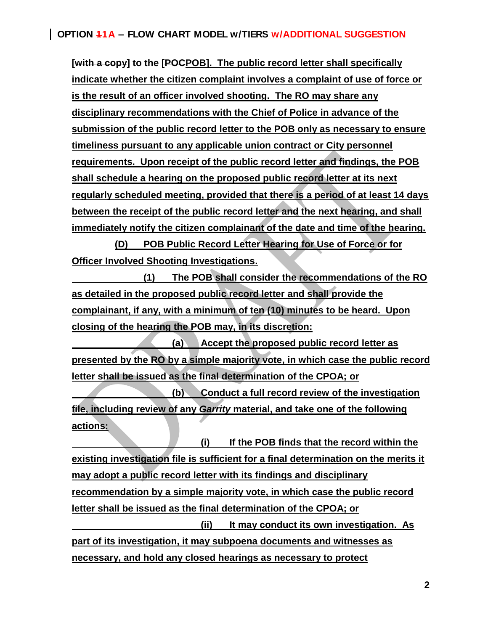**[with a copy] to the [POCPOB]. The public record letter shall specifically indicate whether the citizen complaint involves a complaint of use of force or is the result of an officer involved shooting. The RO may share any disciplinary recommendations with the Chief of Police in advance of the submission of the public record letter to the POB only as necessary to ensure timeliness pursuant to any applicable union contract or City personnel requirements. Upon receipt of the public record letter and findings, the POB shall schedule a hearing on the proposed public record letter at its next regularly scheduled meeting, provided that there is a period of at least 14 days between the receipt of the public record letter and the next hearing, and shall immediately notify the citizen complainant of the date and time of the hearing.**

**(D) POB Public Record Letter Hearing for Use of Force or for Officer Involved Shooting Investigations.** 

**(1) The POB shall consider the recommendations of the RO as detailed in the proposed public record letter and shall provide the complainant, if any, with a minimum of ten (10) minutes to be heard. Upon closing of the hearing the POB may, in its discretion:**

**(a) Accept the proposed public record letter as presented by the RO by a simple majority vote, in which case the public record letter shall be issued as the final determination of the CPOA; or**

**(b) Conduct a full record review of the investigation file, including review of any** *Garrity* **material, and take one of the following actions:**

**(i) If the POB finds that the record within the existing investigation file is sufficient for a final determination on the merits it may adopt a public record letter with its findings and disciplinary recommendation by a simple majority vote, in which case the public record letter shall be issued as the final determination of the CPOA; or**

**(ii) It may conduct its own investigation. As part of its investigation, it may subpoena documents and witnesses as necessary, and hold any closed hearings as necessary to protect**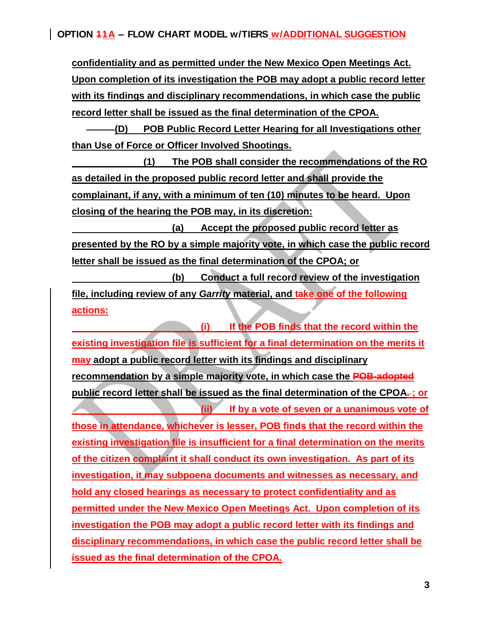**OPTION 11A – FLOW CHART MODEL w/TIERS w/ADDITIONAL SUGGESTION**

**confidentiality and as permitted under the New Mexico Open Meetings Act. Upon completion of its investigation the POB may adopt a public record letter with its findings and disciplinary recommendations, in which case the public record letter shall be issued as the final determination of the CPOA.**

**(D) POB Public Record Letter Hearing for all Investigations other than Use of Force or Officer Involved Shootings.** 

**(1) The POB shall consider the recommendations of the RO as detailed in the proposed public record letter and shall provide the complainant, if any, with a minimum of ten (10) minutes to be heard. Upon closing of the hearing the POB may, in its discretion:**

**(a) Accept the proposed public record letter as presented by the RO by a simple majority vote, in which case the public record letter shall be issued as the final determination of the CPOA; or**

**(b) Conduct a full record review of the investigation file, including review of any** *Garrity* **material, and take one of the following actions:**

**(i) If the POB finds that the record within the existing investigation file is sufficient for a final determination on the merits it may adopt a public record letter with its findings and disciplinary recommendation by a simple majority vote, in which case the POB-adopted**  public record letter shall be issued as the final determination of the CPOA-; or **(ii) If by a vote of seven or a unanimous vote of those in attendance, whichever is lesser, POB finds that the record within the existing investigation file is insufficient for a final determination on the merits of the citizen complaint it shall conduct its own investigation. As part of its investigation, it may subpoena documents and witnesses as necessary, and hold any closed hearings as necessary to protect confidentiality and as permitted under the New Mexico Open Meetings Act. Upon completion of its investigation the POB may adopt a public record letter with its findings and disciplinary recommendations, in which case the public record letter shall be issued as the final determination of the CPOA.**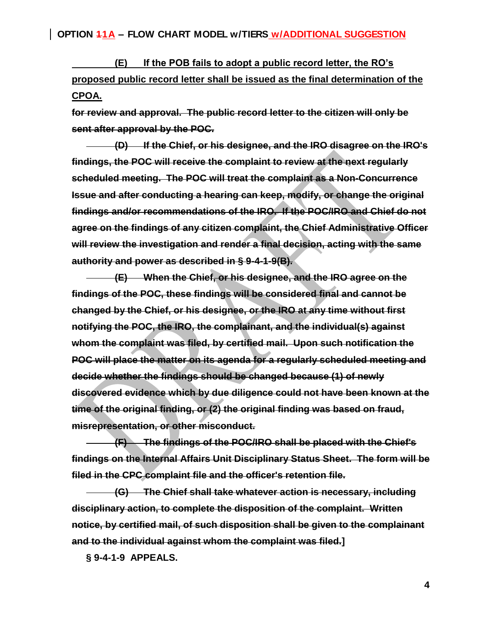**(E) If the POB fails to adopt a public record letter, the RO's proposed public record letter shall be issued as the final determination of the CPOA.**

**for review and approval. The public record letter to the citizen will only be sent after approval by the POC.**

**(D) If the Chief, or his designee, and the IRO disagree on the IRO's findings, the POC will receive the complaint to review at the next regularly scheduled meeting. The POC will treat the complaint as a Non-Concurrence Issue and after conducting a hearing can keep, modify, or change the original findings and/or recommendations of the IRO. If the POC/IRO and Chief do not agree on the findings of any citizen complaint, the Chief Administrative Officer will review the investigation and render a final decision, acting with the same authority and power as described in § 9-4-1-9(B).**

**(E) When the Chief, or his designee, and the IRO agree on the findings of the POC, these findings will be considered final and cannot be changed by the Chief, or his designee, or the IRO at any time without first notifying the POC, the IRO, the complainant, and the individual(s) against whom the complaint was filed, by certified mail. Upon such notification the POC will place the matter on its agenda for a regularly scheduled meeting and decide whether the findings should be changed because (1) of newly discovered evidence which by due diligence could not have been known at the time of the original finding, or (2) the original finding was based on fraud, misrepresentation, or other misconduct.**

**(F) The findings of the POC/IRO shall be placed with the Chief's findings on the Internal Affairs Unit Disciplinary Status Sheet. The form will be filed in the CPC complaint file and the officer's retention file.**

**(G) The Chief shall take whatever action is necessary, including disciplinary action, to complete the disposition of the complaint. Written notice, by certified mail, of such disposition shall be given to the complainant and to the individual against whom the complaint was filed.]**

**§ 9-4-1-9 APPEALS.**